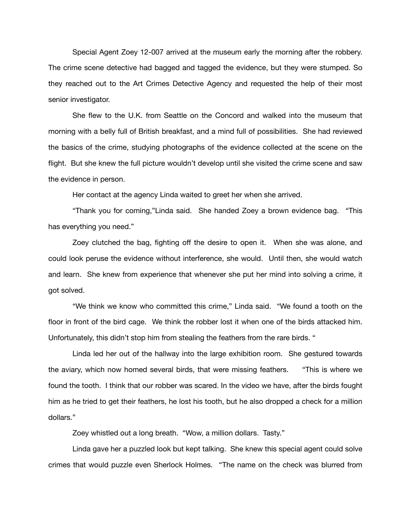Special Agent Zoey 12-007 arrived at the museum early the morning after the robbery. The crime scene detective had bagged and tagged the evidence, but they were stumped. So they reached out to the Art Crimes Detective Agency and requested the help of their most senior investigator.

She flew to the U.K. from Seattle on the Concord and walked into the museum that morning with a belly full of British breakfast, and a mind full of possibilities. She had reviewed the basics of the crime, studying photographs of the evidence collected at the scene on the flight. But she knew the full picture wouldn't develop until she visited the crime scene and saw the evidence in person.

Her contact at the agency Linda waited to greet her when she arrived.

"Thank you for coming,"Linda said. She handed Zoey a brown evidence bag. "This has everything you need."

Zoey clutched the bag, fighting off the desire to open it. When she was alone, and could look peruse the evidence without interference, she would. Until then, she would watch and learn. She knew from experience that whenever she put her mind into solving a crime, it got solved.

"We think we know who committed this crime," Linda said. "We found a tooth on the floor in front of the bird cage. We think the robber lost it when one of the birds attacked him. Unfortunately, this didn't stop him from stealing the feathers from the rare birds. "

Linda led her out of the hallway into the large exhibition room. She gestured towards the aviary, which now homed several birds, that were missing feathers. "This is where we found the tooth. I think that our robber was scared. In the video we have, after the birds fought him as he tried to get their feathers, he lost his tooth, but he also dropped a check for a million dollars."

Zoey whistled out a long breath. "Wow, a million dollars. Tasty."

Linda gave her a puzzled look but kept talking. She knew this special agent could solve crimes that would puzzle even Sherlock Holmes. "The name on the check was blurred from